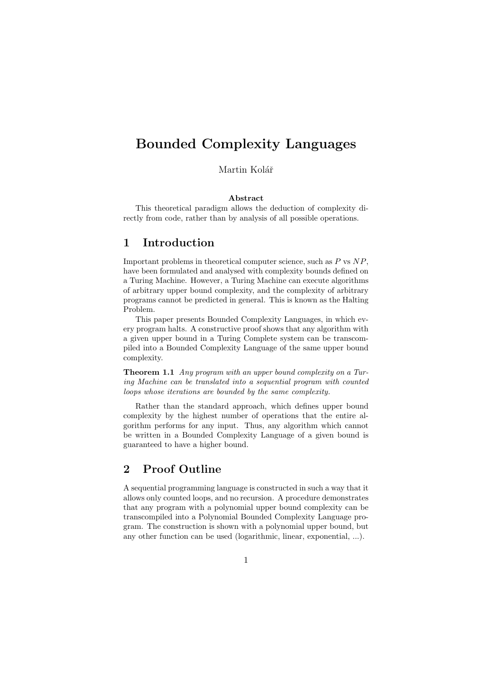# Bounded Complexity Languages

Martin Kolář

#### Abstract

This theoretical paradigm allows the deduction of complexity directly from code, rather than by analysis of all possible operations.

### 1 Introduction

Important problems in theoretical computer science, such as  $P$  vs  $NP$ , have been formulated and analysed with complexity bounds defined on a Turing Machine. However, a Turing Machine can execute algorithms of arbitrary upper bound complexity, and the complexity of arbitrary programs cannot be predicted in general. This is known as the Halting Problem.

This paper presents Bounded Complexity Languages, in which every program halts. A constructive proof shows that any algorithm with a given upper bound in a Turing Complete system can be transcompiled into a Bounded Complexity Language of the same upper bound complexity.

Theorem 1.1 Any program with an upper bound complexity on a Turing Machine can be translated into a sequential program with counted loops whose iterations are bounded by the same complexity.

Rather than the standard approach, which defines upper bound complexity by the highest number of operations that the entire algorithm performs for any input. Thus, any algorithm which cannot be written in a Bounded Complexity Language of a given bound is guaranteed to have a higher bound.

#### 2 Proof Outline

A sequential programming language is constructed in such a way that it allows only counted loops, and no recursion. A procedure demonstrates that any program with a polynomial upper bound complexity can be transcompiled into a Polynomial Bounded Complexity Language program. The construction is shown with a polynomial upper bound, but any other function can be used (logarithmic, linear, exponential, ...).